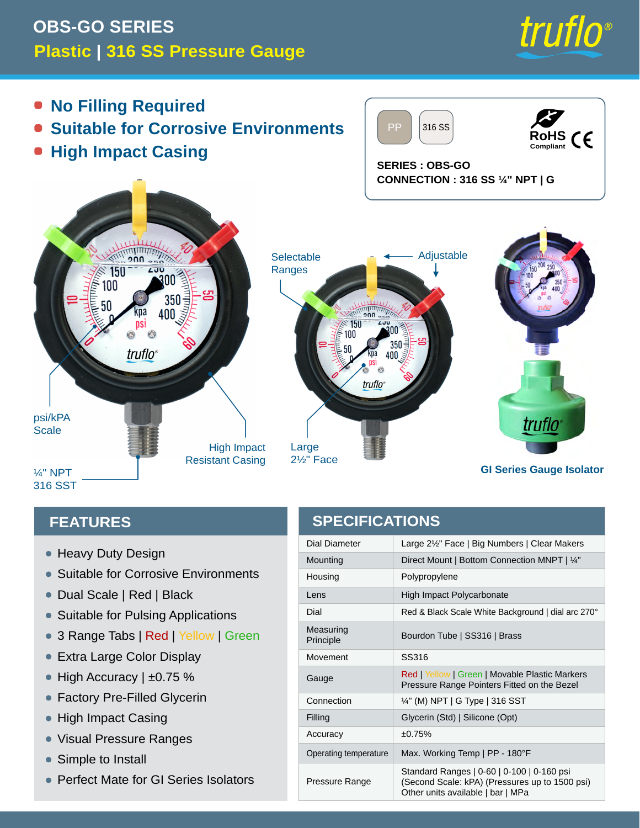## **Plastic | 316 SS Pressure Gauge OBS-GO SERIES**



- **No Filling Required**
- **Suitable for Corrosive Environments**
- **High Impact Casing**

PP 316 SS



**SERIES : OBS-GO CONNECTION : 316 SS ¼" NPT | G**



#### **FEATURES**

- Heavy Duty Design
- Suitable for Corrosive Environments
- Dual Scale | Red | Black
- Suitable for Pulsing Applications
- 3 Range Tabs | Red | Yellow | Green
- Extra Large Color Display
- $\bullet\,$  High Accuracy | ±0.75  $\%$
- Factory Pre-Filled Glycerin  $\bullet$
- High Impact Casing •
- Visual Pressure Ranges •
- Simple to Install  $\bullet$
- Perfect Mate for GI Series Isolators

### **SPECIFICATIONS**

| Dial Diameter          | Large 2½" Face   Big Numbers   Clear Makers                                                                                       |
|------------------------|-----------------------------------------------------------------------------------------------------------------------------------|
| Mounting               | Direct Mount   Bottom Connection MNPT   1/4"                                                                                      |
| Housing                | Polypropylene                                                                                                                     |
| I ens                  | High Impact Polycarbonate                                                                                                         |
| Dial                   | Red & Black Scale White Background   dial arc 270°                                                                                |
| Measuring<br>Principle | Bourdon Tube   SS316   Brass                                                                                                      |
| Movement               | SS316                                                                                                                             |
| Gauge                  | Red   Yellow   Green   Movable Plastic Markers<br>Pressure Range Pointers Fitted on the Bezel                                     |
| Connection             | $\frac{1}{4}$ " (M) NPT   G Type   316 SST                                                                                        |
| Filling                | Glycerin (Std)   Silicone (Opt)                                                                                                   |
| Accuracy               | ±0.75%                                                                                                                            |
| Operating temperature  | Max. Working Temp   PP - 180°F                                                                                                    |
| Pressure Range         | Standard Ranges   0-60   0-100   0-160 psi<br>(Second Scale: kPA) (Pressures up to 1500 psi)<br>Other units available   bar   MPa |